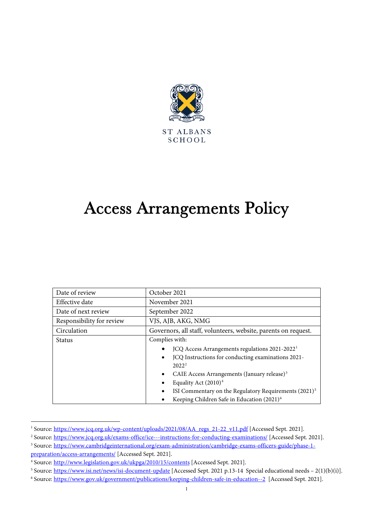

# Access Arrangements Policy

| Date of review            | October 2021                                                                                                                                                                                                                                                                                                                                                                                                |
|---------------------------|-------------------------------------------------------------------------------------------------------------------------------------------------------------------------------------------------------------------------------------------------------------------------------------------------------------------------------------------------------------------------------------------------------------|
| Effective date            | November 2021                                                                                                                                                                                                                                                                                                                                                                                               |
| Date of next review       | September 2022                                                                                                                                                                                                                                                                                                                                                                                              |
| Responsibility for review | VJS, AJB, AKG, NMG                                                                                                                                                                                                                                                                                                                                                                                          |
| Circulation               | Governors, all staff, volunteers, website, parents on request.                                                                                                                                                                                                                                                                                                                                              |
| Status                    | Complies with:<br>JCQ Access Arrangements regulations 2021-2022 <sup>1</sup><br>JCQ Instructions for conducting examinations 2021-<br>$\bullet$<br>2022 <sup>2</sup><br>CAIE Access Arrangements (January release) <sup>3</sup><br>$\bullet$<br>Equality Act $(2010)^4$<br>ISI Commentary on the Regulatory Requirements (2021) <sup>5</sup><br>Keeping Children Safe in Education (2021) <sup>6</sup><br>٠ |

<span id="page-0-0"></span><sup>&</sup>lt;sup>1</sup> Source[: https://www.jcq.org.uk/wp-content/uploads/2021/08/AA\\_regs\\_21-22\\_v11.pdf](https://www.jcq.org.uk/wp-content/uploads/2021/08/AA_regs_21-22_v11.pdf) [Accessed Sept. 2021].

<span id="page-0-1"></span><sup>&</sup>lt;sup>2</sup> Source[: https://www.jcq.org.uk/exams-office/ice---instructions-for-conducting-examinations/](https://www.jcq.org.uk/exams-office/ice---instructions-for-conducting-examinations/) [Accessed Sept. 2021].

<span id="page-0-2"></span><sup>&</sup>lt;sup>3</sup> Source[: https://www.cambridgeinternational.org/exam-administration/cambridge-exams-officers-guide/phase-1](https://www.cambridgeinternational.org/exam-administration/cambridge-exams-officers-guide/phase-1-preparation/access-arrangements/) [preparation/access-arrangements/](https://www.cambridgeinternational.org/exam-administration/cambridge-exams-officers-guide/phase-1-preparation/access-arrangements/) [Accessed Sept. 2021].

<span id="page-0-3"></span><sup>4</sup> Source[: http://www.legislation.gov.uk/ukpga/2010/15/contents](http://www.legislation.gov.uk/ukpga/2010/15/contents) [Accessed Sept. 2021].

<span id="page-0-4"></span><sup>&</sup>lt;sup>5</sup> Source[: https://www.isi.net/news/isi-document-update](https://www.isi.net/news/isi-document-update) [Accessed Sept. 2021 p.13-14 Special educational needs – 2(1)(b)(i)].

<span id="page-0-5"></span><sup>6</sup> Source[: https://www.gov.uk/government/publications/keeping-children-safe-in-education--2](https://www.gov.uk/government/publications/keeping-children-safe-in-education--2) [Accessed Sept. 2021].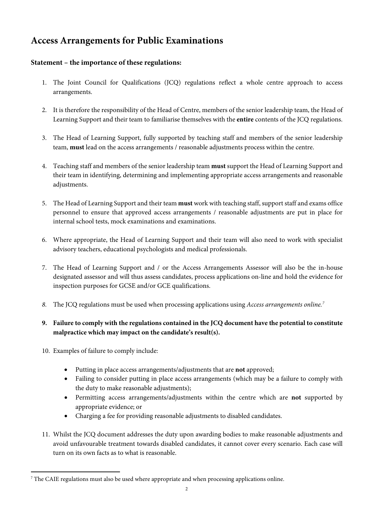# **Access Arrangements for Public Examinations**

# **Statement – the importance of these regulations:**

- 1. The Joint Council for Qualifications (JCQ) regulations reflect a whole centre approach to access arrangements.
- 2. It is therefore the responsibility of the Head of Centre, members of the senior leadership team, the Head of Learning Support and their team to familiarise themselves with the **entire** contents of the JCQ regulations.
- 3. The Head of Learning Support, fully supported by teaching staff and members of the senior leadership team, **must** lead on the access arrangements / reasonable adjustments process within the centre.
- 4. Teaching staff and members of the senior leadership team **must** support the Head of Learning Support and their team in identifying, determining and implementing appropriate access arrangements and reasonable adjustments.
- 5. The Head of Learning Support and their team **must** work with teaching staff, support staff and exams office personnel to ensure that approved access arrangements / reasonable adjustments are put in place for internal school tests, mock examinations and examinations.
- 6. Where appropriate, the Head of Learning Support and their team will also need to work with specialist advisory teachers, educational psychologists and medical professionals.
- 7. The Head of Learning Support and / or the Access Arrangements Assessor will also be the in-house designated assessor and will thus assess candidates, process applications on-line and hold the evidence for inspection purposes for GCSE and/or GCE qualifications.
- *8.* The JCQ regulations must be used when processing applications using *Access arrangements online.[7](#page-1-0)*

# **9. Failure to comply with the regulations contained in the JCQ document have the potential to constitute malpractice which may impact on the candidate's result(s).**

- 10. Examples of failure to comply include:
	- Putting in place access arrangements/adjustments that are **not** approved;
	- Failing to consider putting in place access arrangements (which may be a failure to comply with the duty to make reasonable adjustments);
	- Permitting access arrangements/adjustments within the centre which are **not** supported by appropriate evidence; or
	- Charging a fee for providing reasonable adjustments to disabled candidates.
- 11. Whilst the JCQ document addresses the duty upon awarding bodies to make reasonable adjustments and avoid unfavourable treatment towards disabled candidates, it cannot cover every scenario. Each case will turn on its own facts as to what is reasonable.

<span id="page-1-0"></span> $7$  The CAIE regulations must also be used where appropriate and when processing applications online.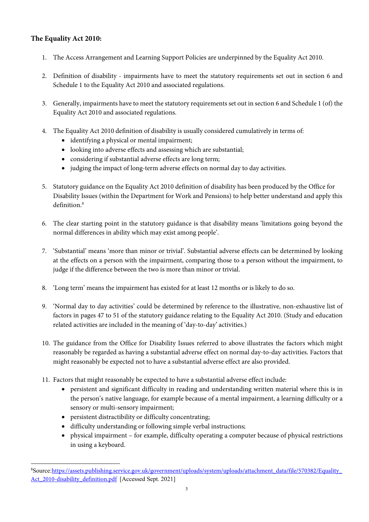# **The Equality Act 2010:**

- 1. The Access Arrangement and Learning Support Policies are underpinned by the Equality Act 2010.
- 2. Definition of disability impairments have to meet the statutory requirements set out in section 6 and Schedule 1 to the Equality Act 2010 and associated regulations.
- 3. Generally, impairments have to meet the statutory requirements set out in section 6 and Schedule 1 (of) the Equality Act 2010 and associated regulations.
- 4. The Equality Act 2010 definition of disability is usually considered cumulatively in terms of:
	- identifying a physical or mental impairment;
	- looking into adverse effects and assessing which are substantial;
	- considering if substantial adverse effects are long term;
	- judging the impact of long-term adverse effects on normal day to day activities.
- 5. Statutory guidance on the Equality Act 2010 definition of disability has been produced by the Office for Disability Issues (within the Department for Work and Pensions) to help better understand and apply this definition. [8](#page-2-0)
- 6. The clear starting point in the statutory guidance is that disability means 'limitations going beyond the normal differences in ability which may exist among people'.
- 7. 'Substantial' means 'more than minor or trivial'. Substantial adverse effects can be determined by looking at the effects on a person with the impairment, comparing those to a person without the impairment, to judge if the difference between the two is more than minor or trivial.
- 8. 'Long term' means the impairment has existed for at least 12 months or is likely to do so.
- 9. 'Normal day to day activities' could be determined by reference to the illustrative, non-exhaustive list of factors in pages 47 to 51 of the statutory guidance relating to the Equality Act 2010. (Study and education related activities are included in the meaning of 'day-to-day' activities.)
- 10. The guidance from the Office for Disability Issues referred to above illustrates the factors which might reasonably be regarded as having a substantial adverse effect on normal day-to-day activities. Factors that might reasonably be expected not to have a substantial adverse effect are also provided.
- 11. Factors that might reasonably be expected to have a substantial adverse effect include:
	- persistent and significant difficulty in reading and understanding written material where this is in the person's native language, for example because of a mental impairment, a learning difficulty or a sensory or multi-sensory impairment;
	- persistent distractibility or difficulty concentrating;
	- difficulty understanding or following simple verbal instructions;
	- physical impairment for example, difficulty operating a computer because of physical restrictions in using a keyboard.

<span id="page-2-0"></span><sup>&</sup>lt;sup>8</sup>Source:[https://assets.publishing.service.gov.uk/government/uploads/system/uploads/attachment\\_data/file/570382/Equality\\_](https://assets.publishing.service.gov.uk/government/uploads/system/uploads/attachment_data/file/570382/Equality_Act_2010-disability_definition.pdf) Act 2010-disability definition.pdf [Accessed Sept. 2021]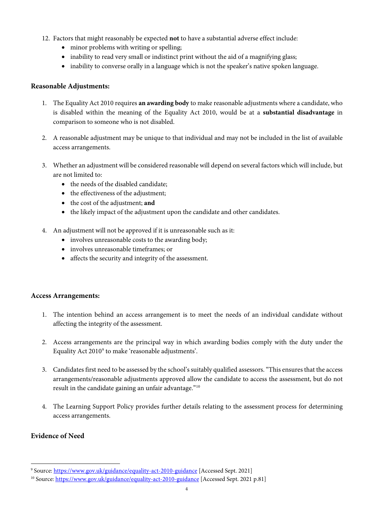- 12. Factors that might reasonably be expected **not** to have a substantial adverse effect include:
	- minor problems with writing or spelling;
	- inability to read very small or indistinct print without the aid of a magnifying glass;
	- inability to converse orally in a language which is not the speaker's native spoken language.

#### **Reasonable Adjustments:**

- 1. The Equality Act 2010 requires **an awarding body** to make reasonable adjustments where a candidate, who is disabled within the meaning of the Equality Act 2010, would be at a **substantial disadvantage** in comparison to someone who is not disabled.
- 2. A reasonable adjustment may be unique to that individual and may not be included in the list of available access arrangements.
- 3. Whether an adjustment will be considered reasonable will depend on several factors which will include, but are not limited to:
	- the needs of the disabled candidate;
	- the effectiveness of the adjustment;
	- the cost of the adjustment; **and**
	- the likely impact of the adjustment upon the candidate and other candidates.
- 4. An adjustment will not be approved if it is unreasonable such as it:
	- involves unreasonable costs to the awarding body;
	- involves unreasonable timeframes; or
	- affects the security and integrity of the assessment.

#### **Access Arrangements:**

- 1. The intention behind an access arrangement is to meet the needs of an individual candidate without affecting the integrity of the assessment.
- 2. Access arrangements are the principal way in which awarding bodies comply with the duty under the Equality Act 2010<sup>[9](#page-3-0)</sup> to make 'reasonable adjustments'.
- 3. Candidates first need to be assessed by the school's suitably qualified assessors. "This ensures that the access arrangements/reasonable adjustments approved allow the candidate to access the assessment, but do not result in the candidate gaining an unfair advantage."[10](#page-3-1)
- 4. The Learning Support Policy provides further details relating to the assessment process for determining access arrangements.

## **Evidence of Need**

<span id="page-3-0"></span><sup>&</sup>lt;sup>9</sup> Source: <https://www.gov.uk/guidance/equality-act-2010-guidance> [Accessed Sept. 2021]

<span id="page-3-1"></span><sup>&</sup>lt;sup>10</sup> Source[: https://www.gov.uk/guidance/equality-act-2010-guidance](https://www.gov.uk/guidance/equality-act-2010-guidance) [Accessed Sept. 2021 p.81]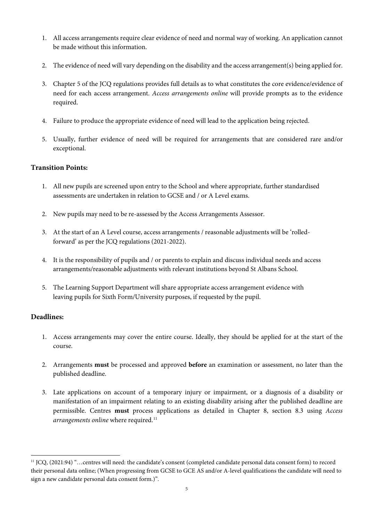- 1. All access arrangements require clear evidence of need and normal way of working. An application cannot be made without this information.
- 2. The evidence of need will vary depending on the disability and the access arrangement(s) being applied for.
- 3. Chapter 5 of the JCQ regulations provides full details as to what constitutes the core evidence/evidence of need for each access arrangement. *Access arrangements online* will provide prompts as to the evidence required.
- 4. Failure to produce the appropriate evidence of need will lead to the application being rejected.
- 5. Usually, further evidence of need will be required for arrangements that are considered rare and/or exceptional.

#### **Transition Points:**

- 1. All new pupils are screened upon entry to the School and where appropriate, further standardised assessments are undertaken in relation to GCSE and / or A Level exams.
- 2. New pupils may need to be re-assessed by the Access Arrangements Assessor.
- 3. At the start of an A Level course, access arrangements / reasonable adjustments will be 'rolledforward' as per the JCQ regulations (2021-2022).
- 4. It is the responsibility of pupils and / or parents to explain and discuss individual needs and access arrangements/reasonable adjustments with relevant institutions beyond St Albans School.
- 5. The Learning Support Department will share appropriate access arrangement evidence with leaving pupils for Sixth Form/University purposes, if requested by the pupil.

## **Deadlines:**

- 1. Access arrangements may cover the entire course. Ideally, they should be applied for at the start of the course.
- 2. Arrangements **must** be processed and approved **before** an examination or assessment, no later than the published deadline.
- 3. Late applications on account of a temporary injury or impairment, or a diagnosis of a disability or manifestation of an impairment relating to an existing disability arising after the published deadline are permissible. Centres **must** process applications as detailed in Chapter 8, section 8.3 using *Access arrangements online* where required.<sup>[11](#page-4-0)</sup>

<span id="page-4-0"></span><sup>11</sup> JCQ, (2021:94) "…centres will need: the candidate's consent (completed candidate personal data consent form) to record their personal data online; (When progressing from GCSE to GCE AS and/or A-level qualifications the candidate will need to sign a new candidate personal data consent form.)".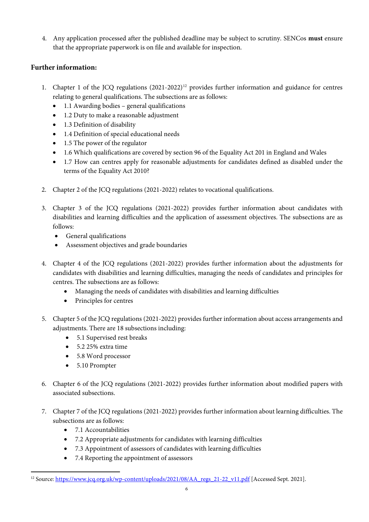4. Any application processed after the published deadline may be subject to scrutiny. SENCos **must** ensure that the appropriate paperwork is on file and available for inspection.

# **Further information:**

- 1. Chapter 1 of the JCQ regulations  $(2021-2022)^{12}$  $(2021-2022)^{12}$  $(2021-2022)^{12}$  provides further information and guidance for centres relating to general qualifications. The subsections are as follows:
	- 1.1 Awarding bodies general qualifications
	- 1.2 Duty to make a reasonable adjustment
	- 1.3 Definition of disability
	- 1.4 Definition of special educational needs
	- 1.5 The power of the regulator
	- 1.6 Which qualifications are covered by section 96 of the Equality Act 201 in England and Wales
	- 1.7 How can centres apply for reasonable adjustments for candidates defined as disabled under the terms of the Equality Act 2010?
- 2. Chapter 2 of the JCQ regulations (2021-2022) relates to vocational qualifications.
- 3. Chapter 3 of the JCQ regulations (2021-2022) provides further information about candidates with disabilities and learning difficulties and the application of assessment objectives. The subsections are as follows:
	- General qualifications
	- Assessment objectives and grade boundaries
- 4. Chapter 4 of the JCQ regulations (2021-2022) provides further information about the adjustments for candidates with disabilities and learning difficulties, managing the needs of candidates and principles for centres. The subsections are as follows:
	- Managing the needs of candidates with disabilities and learning difficulties
	- Principles for centres
- 5. Chapter 5 of the JCQ regulations (2021-2022) provides further information about access arrangements and adjustments. There are 18 subsections including:
	- 5.1 Supervised rest breaks
	- 5.2 25% extra time
	- 5.8 Word processor
	- 5.10 Prompter
- 6. Chapter 6 of the JCQ regulations (2021-2022) provides further information about modified papers with associated subsections.
- 7. Chapter 7 of the JCQ regulations (2021-2022) provides further information about learning difficulties. The subsections are as follows:
	- 7.1 Accountabilities
	- 7.2 Appropriate adjustments for candidates with learning difficulties
	- 7.3 Appointment of assessors of candidates with learning difficulties
	- 7.4 Reporting the appointment of assessors

<span id="page-5-0"></span><sup>&</sup>lt;sup>12</sup> Source[: https://www.jcq.org.uk/wp-content/uploads/2021/08/AA\\_regs\\_21-22\\_v11.pdf](https://www.jcq.org.uk/wp-content/uploads/2021/08/AA_regs_21-22_v11.pdf) [Accessed Sept. 2021].